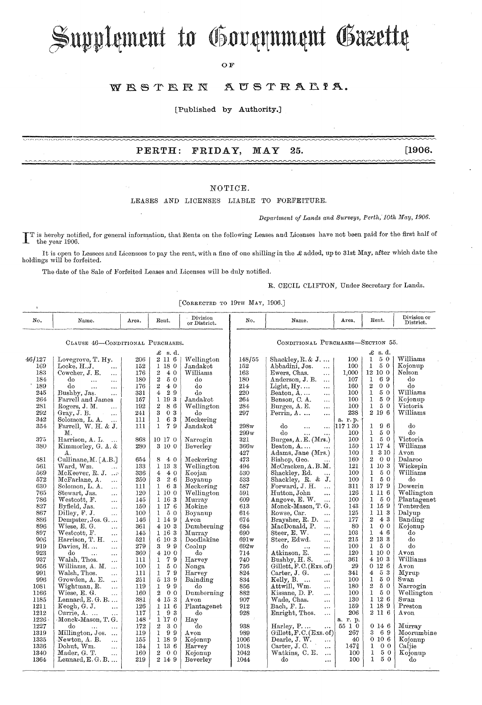# Supplement to Government Gazette

ОF

#### WESTERN AUSTRALIA.

[Published by Authority.]

#### PERTH: FRIDAY, MAY 25.

 $[1906.$ 

### NOTICE.

LEASES AND LICENSES LIABLE TO FORFEITURE.

Department of Lands and Surveys, Perth, 10th May, 1906.

IT is hereby notified, for general information, that Rents on the following Leases and Licenses have not been paid for the first half of the vear 1906. the year 1906.

It is open to Lessees and Licensees to pay the rent, with a fine of one shilling in the  $\pounds$  added, up to 31st May, after which date the holdings will be forfeited.

The date of the Sale of Forfeited Leases and Licenses will be duly notified.

### R. CECIL CLIFTON, Under Secretary for Lands.

[CORRECTED TO 19TH MAY, 1906.]

| No.                              | Name.                                  | Area. | Rent.                          | Division<br>or District. | No.                               | Name.                            | Area.    | Rent.                              | Division or<br>District. |
|----------------------------------|----------------------------------------|-------|--------------------------------|--------------------------|-----------------------------------|----------------------------------|----------|------------------------------------|--------------------------|
| CLAUSE 46-CONDITIONAL PURCHASES. |                                        |       |                                |                          | CONDITIONAL PURCHASES-SECTION 55. |                                  |          |                                    |                          |
| $\pounds$ s.d.                   |                                        |       |                                |                          | $\mathcal{L}$ s.d.                |                                  |          |                                    |                          |
| 46/127                           | Lovegrove, T. Hy.                      | 206   | 2 11 6                         | Wellington               | 148/55                            | Shackley, $R, \& J, \ldots$      | 100      | $5\,$ $0\,$<br>$\mathbf{1}$        | Williams                 |
| 169                              | Locke, H.J.                            | 152   | 1 18 0                         | Jandakot                 | 152                               | Abbadini, Jos.<br>$\cdots$       | 100      | 50<br>$\bf{I}$                     | Kojonup                  |
| 183                              | $\mathbf{r}$<br>Cowcher, J. E.         | 176   | $\boldsymbol{2}$<br>40         | Williams                 | 163                               | Ewers, Chas.                     | 1,000    | 12 10 0                            | Nelson                   |
| 184                              | $\ddotsc$<br>do                        | 180   | $\bf{2}$<br>50                 | do                       | 180                               | $\ddotsc$<br>Anderson, J. B.     | 107      | 69<br>$\mathbf{1}$                 | do                       |
| 189                              | $\cdots$<br>$\cdots$<br>do             | 176   | $\overline{2}$<br>40           | do                       | 214                               | $\ddotsc$<br>$Light, Hy, \ldots$ | 160      | $\boldsymbol{2}$<br>0 <sub>0</sub> | do                       |
| 245                              | $\ddotsc$<br>$\ddotsc$<br>Bushby, Jas. | 331   | $\boldsymbol{4}$<br>29         | do                       | 220                               | $\ddotsc$<br>Beaton, A           | 100      | 1<br>50                            | Williams                 |
| 264                              | $\ddotsc$<br>Farrell and James         | 157   | 1 19 3                         | Jandakot                 | 264                               | $\ddotsc$                        | 100      | 50<br>1                            | Kojonup                  |
| 281                              |                                        |       | 86<br>$\boldsymbol{2}$         |                          | 284                               | Benson, C. A.<br>$\ldots$        | 100      | $5\,$ $0\,$<br>$\mathbf{1}$        | Victoria                 |
| 292                              | Rogers, J. M.<br>i.                    | 192   | 3<br>03                        | Wellington               |                                   | Burges, A. E.<br>$\ldots$        | 238      | 2 19 6                             | Williams                 |
| 342                              | Gray, J. B.<br>$\ddotsc$               | 241   | 63<br>$\mathbf{1}$             | do                       | 297                               | Perrin, $A \ldots$<br>$\cdots$   |          |                                    |                          |
|                                  | Solomon, L. A.<br>$\ldots$             | 111   | $\mathbf{1}$<br>79             | Meckering                |                                   |                                  | a. r. p. |                                    |                          |
| 354                              | Farrell, W. H. & J.                    | 111   |                                | Jandakot                 | 298w                              | do<br>$\cdots$<br>$\cdots$       | 117 1 30 | 96<br>1<br>$\mathbf{I}$            | do<br>do                 |
|                                  | М.                                     |       |                                |                          | 299w                              | do<br>$\ddotsc$<br>$\ddotsc$     | 100      | 50<br>50                           |                          |
| 375                              | Harrison, A. L.<br>$\sim$ . $\sim$     | 868   | 10 17 0                        | Narrogin                 | 321                               | Burges, A. E. (Mrs.)             | 100      | 1<br>1 17 4                        | Victoria<br>Williams     |
| 380                              | Kimmorley, G. A. &                     | 280   | 3 10 0                         | Beverley                 | 366w                              | Beaton, A                        | 150      |                                    |                          |
|                                  | Α.                                     |       |                                |                          | 427                               | Adams, Jane (Mrs.)               | 100      | 1 3 10                             | $A$ von                  |
| 481                              | Cullinane, $M. \lceil A.B. \rceil$     | 654   | 8<br>4.0                       | Meckering                | 473                               | Bishop, Geo.<br>$\cdots$         | 160      | $\overline{2}$<br>0 <sub>0</sub>   | Dalaroo                  |
| 561                              | Ward, Wm.<br>$\cdots$                  | 133   | 1 13 3                         | Wellington               | 494                               | McCracken, A.B.M.                | 121      | 1 10 3                             | Wickepin                 |
| 569                              | McKeever, R. J.                        | 336   | $4\epsilon$<br>40              | Koojan                   | 530                               | Shackley, Rd.<br>                | 100      | 50<br>1                            | Williams                 |
| 572                              | McFarlane, A.<br>$\cdots$              | 250   | 26<br>3                        | Boyanup                  | 533                               | Shackley, R. & J.                | 100      | 1<br>5 0                           | do                       |
| 630                              | Solomon, L. A.<br>$\cdots$             | 111   | $1\quad 6\quad 3$              | Meckering                | 587                               | Forward, J. H.<br>               | 311      | 3 17 9                             | Dowerin                  |
| 765                              | Stewart, Jas.<br>$\ddotsc$             | 120   | 1 10 0                         | Wellington               | 591                               | Hutton, John<br>                 | 126      | 1 11 6                             | Wellington               |
| 786                              | Westcott, F.<br>$\cdots$               | 145   | 1 16 3                         | Murray                   | 609                               | Angove, E. W.<br>$\ddotsc$       | 100      | $\mathbf{1}$<br>50                 | Plantagenet              |
| 827                              | Byfield, Jas.<br>$\cdots$              | 150   | 1176                           | Mokine                   | 613                               | Monck-Mason, T. G.               | 143      | 1159                               | Tenterden                |
| 867                              | Dilley, F. J.<br>$\cdots$              | 100   | $\mathbf{1}$<br>50             | Boyanup                  | 614                               | Rowse, Car.<br>                  | 125      | 1 11 3                             | Dalyup                   |
| 886                              | Dempster, Jos. G                       | 146   | 1 14 9                         | Avon                     | 674                               | Braysher, R. D.<br>$\cdots$      | 177      | $\boldsymbol{2}$<br>43             | Banding                  |
| 896                              | Wiese, E. G.<br>$\ddotsc$              | 361   | 4 10 3                         | Dumberning               | 684                               | MacDonald, P.<br>                | 80       | $\mathbf{I}$<br>0 <sub>0</sub>     | Kojonup                  |
| 897                              | Westcott, F.<br>$\ddotsc$              | 145   | 1 16 3                         | Murray                   | 690                               | Steer, E. W.<br>                 | 103      | $\mathbf{1}$<br>46                 | do                       |
| 906                              | Harrison, T. H.<br>$\sim$ . $\sim$     | 521   | 6 10 3                         | Doodlakine               | 691w                              | Steer, Edwd.<br>                 | 215      | 2 13 3                             | do                       |
| 919                              | Davies, H<br>$\cdots$                  | 279   | 399                            | Coolup                   | 692w                              | do<br>$\ddotsc$<br>$\ddotsc$     | 100      | 50<br>$\mathbf{1}$                 | do                       |
| 923                              | do<br>$\ddotsc$<br>$\cdots$            | 360   | 4100                           | do                       | 714                               | Atkinson, E.<br>$\cdots$         | 120      | 1 10 0                             | Avon                     |
| 937                              | Walsh, Thos.<br>$\ddotsc$              | 111   | 79<br>1                        | Harvey                   | 740                               | Bushby, H.S.<br>$\ldots$         | 361      | 4 10 3                             | Williams                 |
| 956                              | Williams, A. M.                        | 100   | 50<br>$\mathbf{I}$             | Nonga                    | 756                               | Gillett, F.C. (Exs. of)          | 29       | 0126                               | $A$ von                  |
| 991                              | Walsh, Thos.<br>$\cdots$               | 111   | $\mathbf{1}$<br>79             | Harvey                   | 824                               | Carter, J. G.<br>$\cdots$        | 341      | 53<br>4                            | Myrup                    |
| 996                              | Growden, A. E.<br>$\ddotsc$            | 251   | 5 13 9                         | Bainding                 | 834                               | Kelly, B.<br>$\sim$<br>$\cdots$  | 100      | ı<br>50                            | Swan                     |
| 1081                             | Wightman, R.<br>$\ddotsc$              | 119   | $\mathbf{1}$<br>99             | do                       | 856                               | $\pm$ ttwill, Wm.<br>$\cdots$    | 180      | $\overline{2}$<br>$5\,$ $0\,$      | Narrogin                 |
| 1166                             | Wiese, E. G.<br>$\ldots$               | 160   | $\mathbf{2}$<br>0 <sub>0</sub> | Dumberning               | 882                               | Kissane, D. P.<br>$\cdots$       | 100      | $5\,$ $0\,$<br>1                   | Wellington               |
| 1185                             | Lennard, E.G.B                         | 381   | 4 15 3                         | Avon                     | 907                               | Wade, Chas.<br>                  | 130      | 1126                               | Swan                     |
| 1211                             | Keogh, G. J.<br>$\cdots$               | 126   | 1 11 6                         | Plantagenet              | 912                               | Bach, F. L.<br>$\ddotsc$         | 159      | 1 18 9                             | Preston                  |
| 1212                             | Currie, A.<br>$\ddotsc$                | 117   | 193                            | do                       | 928                               | Enright, Thos.<br>$\ddotsc$      | 206      | $2\,$ 11 $\,6$                     | Avon                     |
| 1226                             | Monck-Mason, T. G.                     | 148   | 1 17 0                         | Hay                      |                                   |                                  | a. r. p. |                                    |                          |
| 1227                             | do<br>$\ddotsc$<br>$\cdots$            | 172   | $\overline{2}$<br>30           | do                       | 938                               | Harley, P<br>$\ldots$            | 55 1 0   | 0146                               | Murray                   |
| 1319                             | Millington, Jos.<br>$\sim$ $\sim$      | 119   | $\mathbf{1}$<br>99             | Avon                     | 989                               | Gillett, F.C. (Exs. of)          | 267      | 3<br>69                            | Moorumbine               |
| 1335                             | Newton, A. B.<br>$\ddotsc$             | 155   | 1 18 9                         | Kojonup                  | 1006                              | Dearle, J. W.<br>$\cdots$        | 40       | 0106                               | Kojonup                  |
| 1336                             | Dohut. Wm.<br>$\ddotsc$                | 134   | 1 13 6                         | Harvey                   | 1018                              | Carter, J.C.<br>$\cdots$         | 1472     | 0 <sub>0</sub><br>1                | Caliie                   |
| 1340                             | Mader, G. T.<br>$\cdots$               | 160   | $\mathbf{2}$<br>0 <sub>0</sub> | Kojonup                  | 1042                              | Watkins, C. E.<br>$\ldots$       | 100      | 1<br>5 0                           | Kojonup                  |
| 1364                             | $Lennard, E. G. B. \ldots$             | 219   | 2149                           | Beverley                 | 1044                              | do<br>$\ddotsc$                  | 100      | 1<br>50                            | do                       |
|                                  |                                        |       |                                |                          |                                   |                                  |          |                                    |                          |